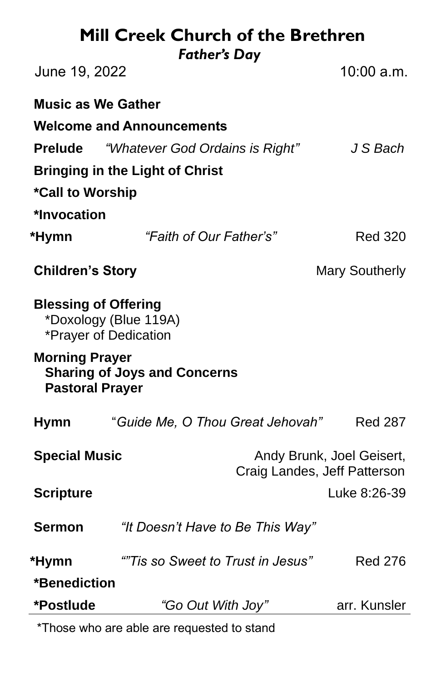#### **Mill Creek Church of the Brethren** *Father's Day*

| June 19, 2022                                                                          | ruulei s Duy                      | 10:00 a.m.                                                |  |
|----------------------------------------------------------------------------------------|-----------------------------------|-----------------------------------------------------------|--|
| <b>Music as We Gather</b>                                                              |                                   |                                                           |  |
| <b>Welcome and Announcements</b>                                                       |                                   |                                                           |  |
| <b>Prelude</b>                                                                         | "Whatever God Ordains is Right"   | J S Bach                                                  |  |
| <b>Bringing in the Light of Christ</b>                                                 |                                   |                                                           |  |
| *Call to Worship                                                                       |                                   |                                                           |  |
| *Invocation                                                                            |                                   |                                                           |  |
| *Hymn                                                                                  | "Faith of Our Father's"           | <b>Red 320</b>                                            |  |
| <b>Children's Story</b>                                                                |                                   | <b>Mary Southerly</b>                                     |  |
| <b>Blessing of Offering</b><br>*Doxology (Blue 119A)<br>*Prayer of Dedication          |                                   |                                                           |  |
| <b>Morning Prayer</b><br><b>Sharing of Joys and Concerns</b><br><b>Pastoral Prayer</b> |                                   |                                                           |  |
| <b>Hymn</b>                                                                            | "Guide Me, O Thou Great Jehovah"  | <b>Red 287</b>                                            |  |
| <b>Special Music</b>                                                                   |                                   | Andy Brunk, Joel Geisert,<br>Craig Landes, Jeff Patterson |  |
| <b>Scripture</b>                                                                       |                                   | Luke 8:26-39                                              |  |
| <b>Sermon</b>                                                                          | "It Doesn't Have to Be This Way"  |                                                           |  |
| *Hymn                                                                                  | ""Tis so Sweet to Trust in Jesus" | <b>Red 276</b>                                            |  |
| *Benediction                                                                           |                                   |                                                           |  |
| *Postlude                                                                              | "Go Out With Joy"                 | arr. Kunsler                                              |  |

\*Those who are able are requested to stand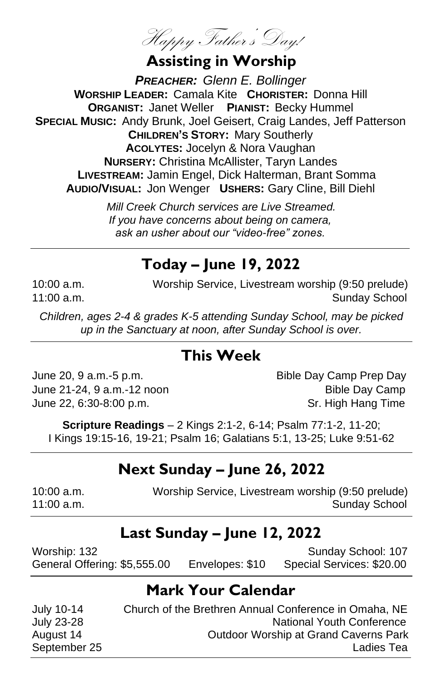Happy Father's Day!

# **Assisting in Worship**

*PREACHER: Glenn E. Bollinger* **WORSHIP LEADER:** Camala Kite **CHORISTER:** Donna Hill **ORGANIST:** Janet Weller **PIANIST:** Becky Hummel **SPECIAL MUSIC:** Andy Brunk, Joel Geisert, Craig Landes, Jeff Patterson **CHILDREN'S STORY:** Mary Southerly **ACOLYTES:** Jocelyn & Nora Vaughan **NURSERY:** Christina McAllister, Taryn Landes **LIVESTREAM:** Jamin Engel, Dick Halterman, Brant Somma **AUDIO/VISUAL:** Jon Wenger **USHERS:** Gary Cline, Bill Diehl

> *Mill Creek Church services are Live Streamed. If you have concerns about being on camera, ask an usher about our "video-free" zones.*

# **Today – June 19, 2022**

10:00 a.m. Worship Service, Livestream worship (9:50 prelude) 11:00 a.m. Sunday School and Sunday School and Sunday School and Sunday School and Sunday School and Sunday School

*Children, ages 2-4 & grades K-5 attending Sunday School, may be picked up in the Sanctuary at noon, after Sunday School is over.*

#### **This Week**

June 20, 9 a.m.-5 p.m. Bible Day Camp Prep Day June 21-24, 9 a.m.-12 noon Bible Day Camp June 22, 6:30-8:00 p.m. Sr. High Hang Time

**Scripture Readings** – 2 Kings 2:1-2, 6-14; Psalm 77:1-2, 11-20; I Kings 19:15-16, 19-21; Psalm 16; Galatians 5:1, 13-25; Luke 9:51-62

# **Next Sunday – June 26, 2022**

| $10:00$ a.m. | Worship Service, Livestream worship (9:50 prelude) |
|--------------|----------------------------------------------------|
| 11:00 a.m.   | <b>Sunday School</b>                               |

# **Last Sunday – June 12, 2022**

Worship: 132 **Sunday School: 107** Sunday School: 107 General Offering: \$5,555.00 Envelopes: \$10 Special Services: \$20.00

# **Mark Your Calendar**

July 10-14 Church of the Brethren Annual Conference in Omaha, NE July 23-28 National Youth Conference August 14 Outdoor Worship at Grand Caverns Park September 25 Ladies Tea